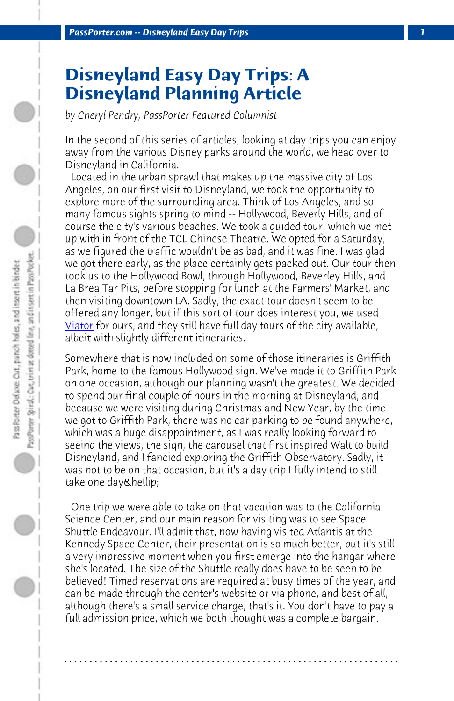*PassPorter.com -- Disneyland Easy Day Trips 1*

## **Disneyland Easy Day Trips: A Disneyland Planning Article**

*[by Che](http://www.viator.com)ryl Pendry, PassPorter Featured Columnist*

In the second of this series of articles, looking at day trips you can enjoy away from the various Disney parks around the world, we head over to Disneyland in California.

 Located in the urban sprawl that makes up the massive city of Los Angeles, on our first visit to Disneyland, we took the opportunity to explore more of the surrounding area. Think of Los Angeles, and so many famous sights spring to mind -- Hollywood, Beverly Hills, and of course the city's various beaches. We took a guided tour, which we met up with in front of the TCL Chinese Theatre. We opted for a Saturday, as we figured the traffic wouldn't be as bad, and it was fine. I was glad we got there early, as the place certainly gets packed out. Our tour then took us to the Hollywood Bowl, through Hollywood, Beverley Hills, and La Brea Tar Pits, before stopping for lunch at the Farmers' Market, and then visiting downtown LA. Sadly, the exact tour doesn't seem to be offered any longer, but if this sort of tour does interest you, we used <u>Viator</u> for ours, and they still have full day tours of the city available, albeit with slightly different itineraries.

Somewhere that is now included on some of those itineraries is Griffith Park, home to the famous Hollywood sign. We've made it to Griffith Park on one occasion, although our planning wasn't the greatest. We decided to spend our final couple of hours in the morning at Disneyland, and because we were visiting during Christmas and New Year, by the time we got to Griffith Park, there was no car parking to be found anywhere, which was a huge disappointment, as I was really looking forward to seeing the views, the sign, the carousel that first inspired Walt to build Disneyland, and I fancied exploring the Griffith Observatory. Sadly, it was not to be on that occasion, but it's a day trip I fully intend to still take one day & hellip;

 One trip we were able to take on that vacation was to the California Science Center, and our main reason for visiting was to see Space Shuttle Endeavour. I'll admit that, now having visited Atlantis at the Kennedy Space Center, their presentation is so much better, but it's still a very impressive moment when you first emerge into the hangar where she's located. The size of the Shuttle really does have to be seen to be believed! Timed reservations are required at busy times of the year, and can be made through the center's website or via phone, and best of all, although there's a small service charge, that's it. You don't have to pay a full admission price, which we both thought was a complete bargain.

**. . . . . . . . . . . . . . . . . . . . . . . . . . . . . . . . . . . . . . . . . . . . . . . . . . . . . . . . . . . . . . . . . .**

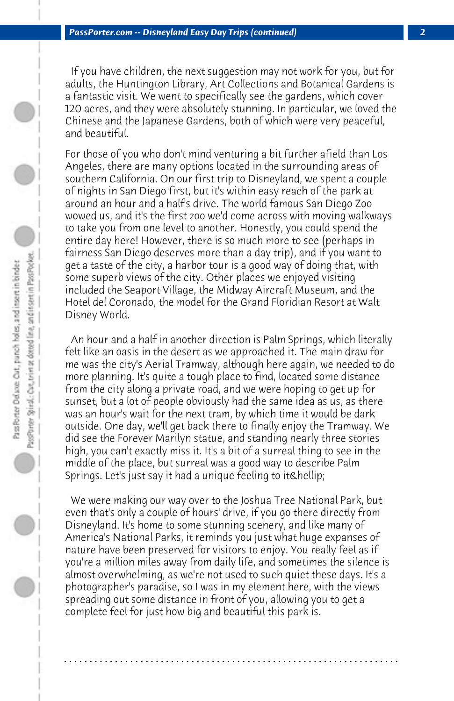If you have children, the next suggestion may not work for you, but for adults, the Huntington Library, Art Collections and Botanical Gardens is a fantastic visit. We went to specifically see the gardens, which cover 120 acres, and they were absolutely stunning. In particular, we loved the Chinese and the Japanese Gardens, both of which were very peaceful, and beautiful.

For those of you who don't mind venturing a bit further afield than Los Angeles, there are many options located in the surrounding areas of southern California. On our first trip to Disneyland, we spent a couple of nights in San Diego first, but it's within easy reach of the park at around an hour and a half's drive. The world famous San Diego Zoo wowed us, and it's the first zoo we'd come across with moving walkways to take you from one level to another. Honestly, you could spend the entire day here! However, there is so much more to see (perhaps in fairness San Diego deserves more than a day trip), and if you want to get a taste of the city, a harbor tour is a good way of doing that, with some superb views of the city. Other places we enjoyed visiting included the Seaport Village, the Midway Aircraft Museum, and the Hotel del Coronado, the model for the Grand Floridian Resort at Walt Disney World.

 An hour and a half in another direction is Palm Springs, which literally felt like an oasis in the desert as we approached it. The main draw for me was the city's Aerial Tramway, although here again, we needed to do more planning. It's quite a tough place to find, located some distance from the city along a private road, and we were hoping to get up for sunset, but a lot of people obviously had the same idea as us, as there was an hour's wait for the next tram, by which time it would be dark outside. One day, we'll get back there to finally enjoy the Tramway. We did see the Forever Marilyn statue, and standing nearly three stories high, you can't exactly miss it. It's a bit of a surreal thing to see in the middle of the place, but surreal was a good way to describe Palm Springs. Let's just say it had a unique feeling to it & hellip;

 We were making our way over to the Joshua Tree National Park, but even that's only a couple of hours' drive, if you go there directly from Disneyland. It's home to some stunning scenery, and like many of America's National Parks, it reminds you just what huge expanses of nature have been preserved for visitors to enjoy. You really feel as if you're a million miles away from daily life, and sometimes the silence is almost overwhelming, as we're not used to such quiet these days. It's a photographer's paradise, so I was in my element here, with the views spreading out some distance in front of you, allowing you to get a complete feel for just how big and beautiful this park is.

**. . . . . . . . . . . . . . . . . . . . . . . . . . . . . . . . . . . . . . . . . . . . . . . . . . . . . . . . . . . . . . . . . .**